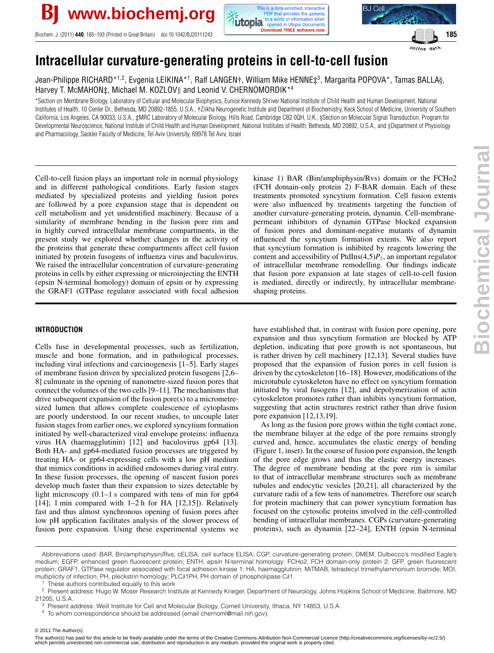

Biochem. J. (2011) **440**, 185–193 (Printed in Great Britain) doi:10.1042/BJ20111243 **185 185 185 185 185 185** 





online date

# **Intracellular curvature-generating proteins in cell-to-cell fusion**

Jean-Philippe RICHARD\*1,2, Evgenia LEIKINA\*1, Ralf LANGEN†, William Mike HENNE‡3, Margarita POPOVA\*, Tamas BALLA§, Harvey T. McMAHON‡, Michael M. KOZLOV|| and Leonid V. CHERNOMORDIK\*<sup>4</sup>

\*Section on Membrane Biology, Laboratory of Cellular and Molecular Biophysics, Eunice Kennedy Shriver National Institute of Child Health and Human Development, National Institutes of Health, 10 Center Dr., Bethesda, MD 20892-1855, U.S.A., †Zilkha Neurogenetic Institute and Department of Biochemistry, Keck School of Medicine, University of Southern California, Los Angeles, CA 90033, U.S.A., ‡MRC Laboratory of Molecular Biology, Hills Road, Cambridge CB2 0QH, U.K., §Section on Molecular Signal Transduction, Program for Developmental Neuroscience, National Institute of Child Health and Human Development, National Institutes of Health, Bethesda, MD 20892, U.S.A., and ||Department of Physiology and Pharmacology, Sackler Faculty of Medicine, Tel Aviv University, 69978 Tel Aviv, Israel

Cell-to-cell fusion plays an important role in normal physiology and in different pathological conditions. Early fusion stages mediated by specialized proteins and yielding fusion pores are followed by a pore expansion stage that is dependent on cell metabolism and yet unidentified machinery. Because of a similarity of membrane bending in the fusion pore rim and in highly curved intracellular membrane compartments, in the present study we explored whether changes in the activity of the proteins that generate these compartments affect cell fusion initiated by protein fusogens of influenza virus and baculovirus. We raised the intracellular concentration of curvature-generating proteins in cells by either expressing or microinjecting the ENTH (epsin N-terminal homology) domain of epsin or by expressing the GRAF1 (GTPase regulator associated with focal adhesion

# kinase 1) BAR (Bin/amphiphysin/Rvs) domain or the FCHo2 (FCH domain-only protein 2) F-BAR domain. Each of these treatments promoted syncytium formation. Cell fusion extents were also influenced by treatments targeting the function of another curvature-generating protein, dynamin. Cell-membranepermeant inhibitors of dynamin GTPase blocked expansion of fusion pores and dominant-negative mutants of dynamin influenced the syncytium formation extents. We also report that syncytium formation is inhibited by reagents lowering the content and accessibility of PtdIns $(4,5)P_2$ , an important regulator of intracellular membrane remodelling. Our findings indicate that fusion pore expansion at late stages of cell-to-cell fusion is mediated, directly or indirectly, by intracellular membraneshaping proteins.

# **INTRODUCTION**

Cells fuse in developmental processes, such as fertilization, muscle and bone formation, and in pathological processes, including viral infections and carcinogenesis [\[1](#page-6-0)[–5\]](#page-6-1). Early stages of membrane fusion driven by specialized protein fusogens [\[2](#page-6-2)[,6–](#page-6-3) [8\]](#page-7-0) culminate in the opening of nanometre-sized fusion pores that connect the volumes of the two cells [\[9–](#page-7-1)[11\]](#page-7-2). The mechanisms that drive subsequent expansion of the fusion pore(s) to a micrometresized lumen that allows complete coalescence of cytoplasms are poorly understood. In our recent studies, to uncouple later fusion stages from earlier ones, we explored syncytium formation initiated by well-characterized viral envelope proteins: influenza virus HA (haemagglutinin) [\[12\]](#page-7-3) and baculovirus gp64 [\[13\]](#page-7-4). Both HA- and gp64-mediated fusion processes are triggered by treating HA- or gp64-expressing cells with a low pH medium that mimics conditions in acidified endosomes during viral entry. In these fusion processes, the opening of nascent fusion pores develop much faster than their expansion to sizes detectable by light microscopy (0.1–1 s compared with tens of min for gp64 [\[14\]](#page-7-5); 1 min compared with 1–2 h for HA [\[12](#page-7-3)[,15\]](#page-7-6)). Relatively fast and thus almost synchronous opening of fusion pores after low pH application facilitates analysis of the slower process of fusion pore expansion. Using these experimental systems we have established that, in contrast with fusion pore opening, pore expansion and thus syncytium formation are blocked by ATP depletion, indicating that pore growth is not spontaneous, but is rather driven by cell machinery [\[12,](#page-7-3)[13\]](#page-7-4). Several studies have proposed that the expansion of fusion pores in cell fusion is driven by the cytoskeleton [\[16](#page-7-7)[–18\]](#page-7-8). However, modifications of the microtubule cytoskeleton have no effect on syncytium formation initiated by viral fusogens [\[12\]](#page-7-3), and depolymerization of actin cytoskeleton promotes rather than inhibits syncytium formation, suggesting that actin structures restrict rather than drive fusion pore expansion [\[12](#page-7-3)[,13](#page-7-4)[,19\]](#page-7-9).

As long as the fusion pore grows within the tight contact zone, the membrane bilayer at the edge of the pore remains strongly curved and, hence, accumulates the elastic energy of bending [\(Figure 1,](#page-1-0) inset). In the course of fusion pore expansion, the length of the pore edge grows and thus the elastic energy increases. The degree of membrane bending at the pore rim is similar to that of intracellular membrane structures such as membrane tubules and endocytic vesicles [\[20](#page-7-10)[,21\]](#page-7-11), all characterized by the curvature radii of a few tens of nanometres. Therefore our search for protein machinery that can power syncytium formation has focused on the cytosolic proteins involved in the cell-controlled bending of intracellular membranes. CGPs (curvature-generating proteins), such as dynamin [\[22–](#page-7-12)[24\]](#page-7-13), ENTH (epsin N-terminal

Abbreviations used: BAR, Bin/amphiphysin/Rvs; cELISA, cell surface ELISA; CGP, curvature-generating protein; DMEM, Dulbecco's modified Eagle's medium; EGFP, enhanced green fluorescent protein; ENTH, epsin N-terminal homology; FCHo2, FCH domain-only protein 2; GFP, green fluorescent protein; GRAF1, GTPase regulator associated with focal adhesion kinase 1; HA, haemagglutinin; MiTMAB, tetradecyl trimethylammonium bromide; MOI, multiplicity of infection; PH, pleckstrin homology; PLC*δ*1PH, PH domain of phospholipase C*δ*1.

These authors contributed equally to this work

<sup>&</sup>lt;sup>2</sup> Present address: Hugo W. Moser Research Institute at Kennedy Krieger, Department of Neurology, Johns Hopkins School of Medicine, Baltimore, MD 21205, U.S.A.

<sup>3</sup> Present address: Weill Institute for Cell and Molecular Biology, Cornell University, Ithaca, NY 14853, U.S.A.

<span id="page-0-0"></span><sup>4</sup> To whom correspondence should be addressed (email chernoml@mail.nih.gov).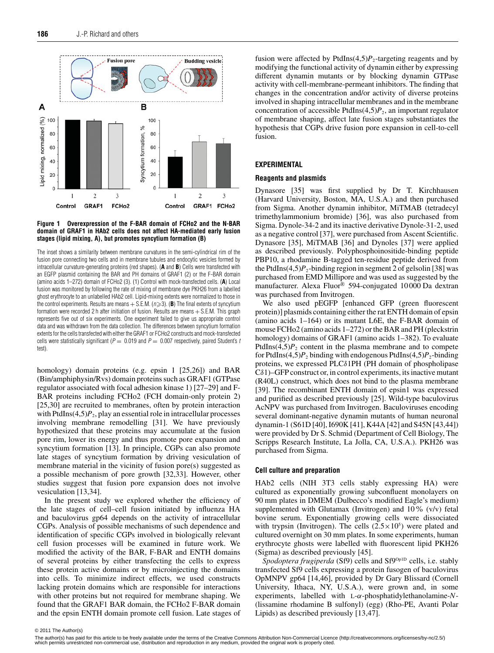<span id="page-1-0"></span>



The inset shows a similarity between membrane curvatures in the semi-cylindrical rim of the fusion pore connecting two cells and in membrane tubules and endocytic vesicles formed by intracellular curvature-generating proteins (red shapes). (**A** and **B**) Cells were transfected with an EGFP plasmid containing the BAR and PH domains of GRAF1 (2) or the F-BAR domain (amino acids 1–272) domain of FCHo2 (3). (1) Control with mock-transfected cells. (**A**) Local fusion was monitored by following the rate of mixing of membrane dye PKH26 from a labelled ghost erythrocyte to an unlabelled HAb2 cell. Lipid-mixing extents were normalized to those in the control experiments. Results are means  $+$  S.E.M. ( $n \geqslant 3$ ). (**B**) The final extents of syncytium formation were recorded 2 h after initiation of fusion. Results are means  $+$  S.E.M. This graph represents five out of six experiments. One experiment failed to give us appropriate control data and was withdrawn from the data collection. The differences between syncytium formation extents for the cells transfected with either the GRAF1 or FCHo2 constructs and mock-transfected cells were statistically significant ( $P = 0.019$  and  $P = 0.007$  respectively, paired Student's t test).

homology) domain proteins (e.g. epsin 1 [\[25](#page-7-14)[,26\]](#page-7-15)) and BAR (Bin/amphiphysin/Rvs) domain proteins such as GRAF1 (GTPase regulator associated with focal adhesion kinase 1) [\[27](#page-7-16)[–29\]](#page-7-17) and F-BAR proteins including FCHo2 (FCH domain-only protein 2) [\[25](#page-7-14)[,30\]](#page-7-18) are recruited to membranes, often by protein interaction with PtdIns $(4,5)P_2$ , play an essential role in intracellular processes involving membrane remodelling [\[31\]](#page-7-19). We have previously hypothesized that these proteins may accumulate at the fusion pore rim, lower its energy and thus promote pore expansion and syncytium formation [\[13\]](#page-7-4). In principle, CGPs can also promote late stages of syncytium formation by driving vesiculation of membrane material in the vicinity of fusion pore(s) suggested as a possible mechanism of pore growth [\[32](#page-7-20)[,33\]](#page-7-21). However, other studies suggest that fusion pore expansion does not involve vesiculation [\[13,](#page-7-4)[34\]](#page-7-22).

In the present study we explored whether the efficiency of the late stages of cell–cell fusion initiated by influenza HA and baculovirus gp64 depends on the activity of intracellular CGPs. Analysis of possible mechanisms of such dependence and identification of specific CGPs involved in biologically relevant cell fusion processes will be examined in future work. We modified the activity of the BAR, F-BAR and ENTH domains of several proteins by either transfecting the cells to express these protein active domains or by microinjecting the domains into cells. To minimize indirect effects, we used constructs lacking protein domains which are responsible for interactions with other proteins but not required for membrane shaping. We found that the GRAF1 BAR domain, the FCHo2 F-BAR domain and the epsin ENTH domain promote cell fusion. Late stages of fusion were affected by PtdIns $(4,5)P_2$ -targeting reagents and by modifying the functional activity of dynamin either by expressing different dynamin mutants or by blocking dynamin GTPase activity with cell-membrane-permeant inhibitors. The finding that changes in the concentration and/or activity of diverse proteins involved in shaping intracellular membranes and in the membrane concentration of accessible PtdIns $(4,5)P_2$ , an important regulator of membrane shaping, affect late fusion stages substantiates the hypothesis that CGPs drive fusion pore expansion in cell-to-cell fusion.

## **EXPERIMENTAL**

#### **Reagents and plasmids**

Dynasore [\[35\]](#page-7-23) was first supplied by Dr T. Kirchhausen (Harvard University, Boston, MA, U.S.A.) and then purchased from Sigma. Another dynamin inhibitor, MiTMAB (tetradecyl trimethylammonium bromide) [\[36\]](#page-7-24), was also purchased from Sigma. Dynole-34-2 and its inactive derivative Dynole-31-2, used as a negative control [\[37\]](#page-7-25), were purchased from Ascent Scientific. Dynasore [\[35\]](#page-7-23), MiTMAB [\[36\]](#page-7-24) and Dynoles [\[37\]](#page-7-25) were applied as described previously. Polyphosphoinositide-binding peptide PBP10, a rhodamine B-tagged ten-residue peptide derived from the PtdIns $(4,5)P_2$ -binding region in segment 2 of gelsolin [\[38\]](#page-7-26) was purchased from EMD Millipore and was used as suggested by the manufacturer. Alexa Fluor® 594-conjugated 10 000 Da dextran was purchased from Invitrogen.

We also used pEGFP [enhanced GFP (green fluorescent protein)] plasmids containing either the rat ENTH domain of epsin (amino acids 1–164) or its mutant L6E, the F-BAR domain of mouse FCHo2 (amino acids 1–272) or the BAR and PH (pleckstrin homology) domains of GRAF1 (amino acids 1–382). To evaluate PtdIns $(4,5)P_2$  content in the plasma membrane and to compete for PtdIns(4,5) $P_2$  binding with endogenous PtdIns(4,5) $P_2$ -binding proteins, we expressed PLCδ1PH (PH domain of phospholipase Cδ1)–GFP construct or, in control experiments, its inactive mutant (R40L) construct, which does not bind to the plasma membrane [\[39\]](#page-7-27). The recombinant ENTH domain of epsin1 was expressed and purified as described previously [\[25\]](#page-7-14). Wild-type baculovirus AcNPV was purchased from Invitrogen. Baculoviruses encoding several dominant-negative dynamin mutants of human neuronal dynamin-1 (S61D [\[40\]](#page-7-28), I690K [\[41\]](#page-7-29), K44A [\[42\]](#page-7-30) and S45N [\[43,](#page-7-31)[44\]](#page-7-32)) were provided by Dr S. Schmid (Department of Cell Biology, The Scripps Research Institute, La Jolla, CA, U.S.A.). PKH26 was purchased from Sigma.

### **Cell culture and preparation**

HAb2 cells (NIH 3T3 cells stably expressing HA) were cultured as exponentially growing subconfluent monolayers on 90 mm plates in DMEM (Dulbecco's modified Eagle's medium) supplemented with Glutamax (Invitrogen) and 10% (v/v) fetal bovine serum. Exponentially growing cells were dissociated with trypsin (Invitrogen). The cells  $(2.5 \times 10^5)$  were plated and cultured overnight on 30 mm plates. In some experiments, human erythrocyte ghosts were labelled with fluorescent lipid PKH26 (Sigma) as described previously [\[45\]](#page-7-33).

Spodoptera frugiperda (Sf9) cells and Sf9<sup>Op1D</sup> cells, i.e. stably transfected Sf9 cells expressing a protein fusogen of baculovirus OpMNPV gp64 [\[14](#page-7-5)[,46\]](#page-7-34), provided by Dr Gary Blissard (Cornell University, Ithaca, NY, U.S.A.), were grown and, in some experiments, labelled with L-α-phosphatidylethanolamine-*N*- (lissamine rhodamine B sulfonyl) (egg) (Rho-PE, Avanti Polar Lipids) as described previously [\[13](#page-7-4)[,47\]](#page-7-35).

<sup>© 2011</sup> The Author(s)<br>The author(s) has paid for this article to be freely available under the terms of the Creative Commons Attribution Non-Commercial Licence (http://creativecommons.org/licenses/by-nc/2.5/) which permits unrestricted non-commercial use, distribution and reproduction in any medium, provided the original work is properly cited.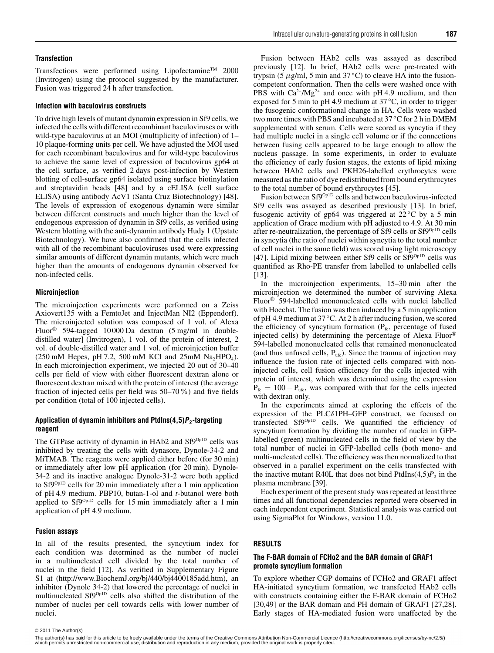#### **Transfection**

Transfections were performed using Lipofectamine<sup>TM</sup> 2000 (Invitrogen) using the protocol suggested by the manufacturer. Fusion was triggered 24 h after transfection.

#### **Infection with baculovirus constructs**

To drive high levels of mutant dynamin expression in Sf9 cells, we infected the cells with different recombinant baculoviruses or with wild-type baculovirus at an MOI (multiplicity of infection) of 1– 10 plaque-forming units per cell. We have adjusted the MOI used for each recombinant baculovirus and for wild-type baculovirus to achieve the same level of expression of baculovirus gp64 at the cell surface, as verified 2 days post-infection by Western blotting of cell-surface gp64 isolated using surface biotinylation and streptavidin beads [\[48\]](#page-7-36) and by a cELISA (cell surface ELISA) using antibody AcV1 (Santa Cruz Biotechnology) [\[48\]](#page-7-36). The levels of expression of exogenous dynamin were similar between different constructs and much higher than the level of endogenous expression of dynamin in Sf9 cells, as verified using Western blotting with the anti-dynamin antibody Hudy 1 (Upstate Biotechnology). We have also confirmed that the cells infected with all of the recombinant baculoviruses used were expressing similar amounts of different dynamin mutants, which were much higher than the amounts of endogenous dynamin observed for non-infected cells.

# **Microinjection**

The microinjection experiments were performed on a Zeiss Axiovert135 with a FemtoJet and InjectMan NI2 (Eppendorf). The microinjected solution was composed of 1 vol. of Alexa Fluor® 594-tagged 10 000 Da dextran (5 mg/ml in doubledistilled water] (Invitrogen), 1 vol. of the protein of interest, 2 vol. of double-distilled water and 1 vol. of microinjection buffer  $(250 \text{ mM}$  Hepes, pH 7.2, 500 mM KCl and  $25 \text{ mM}$  Na<sub>2</sub>HPO<sub>4</sub>). In each microinjection experiment, we injected 20 out of 30–40 cells per field of view with either fluorescent dextran alone or fluorescent dextran mixed with the protein of interest (the average fraction of injected cells per field was 50–70%) and five fields per condition (total of 100 injected cells).

# **Application of dynamin inhibitors and PtdIns(4,5)P2-targeting reagent**

The GTPase activity of dynamin in HAb2 and Sf9<sup>Op1D</sup> cells was inhibited by treating the cells with dynasore, Dynole-34-2 and MiTMAB. The reagents were applied either before (for 30 min) or immediately after low pH application (for 20 min). Dynole-34-2 and its inactive analogue Dynole-31-2 were both applied to Sf9Op1D cells for 20 min immediately after a 1 min application of pH 4.9 medium. PBP10, butan-1-ol and *t*-butanol were both applied to Sf9Op1D cells for 15 min immediately after a 1 min application of pH 4.9 medium.

# **Fusion assays**

In all of the results presented, the syncytium index for each condition was determined as the number of nuclei in a multinucleated cell divided by the total number of nuclei in the field [\[12\]](#page-7-3). As verified in Supplementary Figure S1 at [\(http://www.BiochemJ.org/bj/440/bj4400185add.htm\)](http://www.BiochemJ.org/bj/440/bj4400185add.htm), an inhibitor (Dynole 34-2) that lowered the percentage of nuclei in multinucleated Sf9<sup>Op1D</sup> cells also shifted the distribution of the number of nuclei per cell towards cells with lower number of nuclei.

Fusion between HAb2 cells was assayed as described previously [\[12\]](#page-7-3). In brief, HAb2 cells were pre-treated with trypsin (5  $\mu$ g/ml, 5 min and 37 $\rm{°C}$ ) to cleave HA into the fusioncompetent conformation. Then the cells were washed once with PBS with  $Ca^{2+}/Mg^{2+}$  and once with pH 4.9 medium, and then exposed for 5 min to pH 4.9 medium at 37 *◦*C, in order to trigger the fusogenic conformational change in HA. Cells were washed two more times with PBS and incubated at 37 *◦*C for 2 h in DMEM supplemented with serum. Cells were scored as syncytia if they had multiple nuclei in a single cell volume or if the connections between fusing cells appeared to be large enough to allow the nucleus passage. In some experiments, in order to evaluate the efficiency of early fusion stages, the extents of lipid mixing between HAb2 cells and PKH26-labelled erythrocytes were measured as the ratio of dye redistributed from bound erythrocytes to the total number of bound erythrocytes [\[45\]](#page-7-33).

Fusion between Sf9<sup>Op1D</sup> cells and between baculovirus-infected Sf9 cells was assayed as described previously [\[13\]](#page-7-4). In brief, fusogenic activity of gp64 was triggered at 22 °C by a 5 min application of Grace medium with pH adjusted to 4.9. At 30 min after re-neutralization, the percentage of Sf9 cells or Sf9Op1D cells in syncytia (the ratio of nuclei within syncytia to the total number of cell nuclei in the same field) was scored using light microscopy [\[47\]](#page-7-35). Lipid mixing between either Sf9 cells or Sf9Op1D cells was quantified as Rho-PE transfer from labelled to unlabelled cells [\[13\]](#page-7-4).

In the microinjection experiments, 15–30 min after the microinjection we determined the number of surviving Alexa Fluor® 594-labelled mononucleated cells with nuclei labelled with Hoechst. The fusion was then induced by a 5 min application of pH 4.9 medium at 37 *◦*C. At 2 h after inducing fusion, we scored the efficiency of syncytium formation  $(P_{fc},$  percentage of fused injected cells) by determining the percentage of Alexa Fluor® 594-labelled mononucleated cells that remained mononucleated (and thus unfused cells,  $P_{\text{ufc}}$ ). Since the trauma of injection may influence the fusion rate of injected cells compared with noninjected cells, cell fusion efficiency for the cells injected with protein of interest, which was determined using the expression  $P_{\text{fc}} = 100 - P_{\text{ufc}}$ , was compared with that for the cells injected with dextran only.

In the experiments aimed at exploring the effects of the expression of the PLCδ1PH–GFP construct, we focused on transfected Sf9Op1D cells. We quantified the efficiency of syncytium formation by dividing the number of nuclei in GFPlabelled (green) multinucleated cells in the field of view by the total number of nuclei in GFP-labelled cells (both mono- and multi-nucleated cells). The efficiency was then normalized to that observed in a parallel experiment on the cells transfected with the inactive mutant R40L that does not bind PtdIns $(4,5)P_2$  in the plasma membrane [\[39\]](#page-7-27).

Each experiment of the present study was repeated at least three times and all functional dependencies reported were observed in each independent experiment. Statistical analysis was carried out using SigmaPlot for Windows, version 11.0.

### **RESULTS**

# **The F-BAR domain of FCHo2 and the BAR domain of GRAF1 promote syncytium formation**

To explore whether CGP domains of FCHo2 and GRAF1 affect HA-initiated syncytium formation, we transfected HAb2 cells with constructs containing either the F-BAR domain of FCHo2 [\[30,](#page-7-18)[49\]](#page-7-37) or the BAR domain and PH domain of GRAF1 [\[27](#page-7-16)[,28\]](#page-7-38). Early stages of HA-mediated fusion were unaffected by the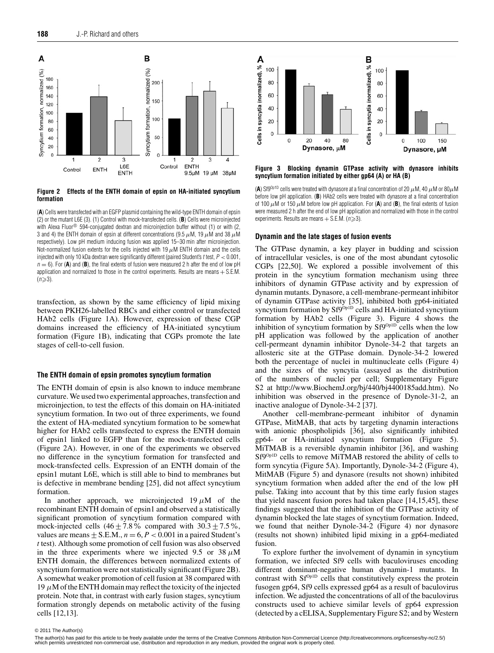<span id="page-3-0"></span>

**Figure 2 Effects of the ENTH domain of epsin on HA-initiated syncytium formation**

(**A**) Cells were transfected with an EGFP plasmid containing the wild-type ENTH domain of epsin (2) or the mutant L6E (3). (1) Control with mock-transfected cells. (**B**) Cells were microinjected with Alexa Fluor<sup>®</sup> 594-conjugated dextran and microinjection buffer without (1) or with (2, 3 and 4) the ENTH domain of epsin at different concentrations (9.5  $\mu$ M, 19  $\mu$ M and 38  $\mu$ M respectively). Low pH medium inducing fusion was applied 15–30 min after microinjection. Not-normalized fusion extents for the cells injected with 19  $\mu$ M ENTH domain and the cells injected with only 10 kDa dextran were significantly different (paired Student's t test,  $P < 0.001$ ,  $n = 6$ ). For (**A**) and (**B**), the final extents of fusion were measured 2 h after the end of low pH application and normalized to those in the control experiments. Results are means + S.E.M.  $(n\geqslant3)$ .

transfection, as shown by the same efficiency of lipid mixing between PKH26-labelled RBCs and either control or transfected HAb2 cells [\(Figure 1A](#page-1-0)). However, expression of these CGP domains increased the efficiency of HA-initiated syncytium formation [\(Figure 1B](#page-1-0)), indicating that CGPs promote the late stages of cell-to-cell fusion.

#### **The ENTH domain of epsin promotes syncytium formation**

The ENTH domain of epsin is also known to induce membrane curvature. We used two experimental approaches, transfection and microinjection, to test the effects of this domain on HA-initiated syncytium formation. In two out of three experiments, we found the extent of HA-mediated syncytium formation to be somewhat higher for HAb2 cells transfected to express the ENTH domain of epsin1 linked to EGFP than for the mock-transfected cells [\(Figure 2A](#page-3-0)). However, in one of the experiments we observed no difference in the syncytium formation for transfected and mock-transfected cells. Expression of an ENTH domain of the epsin1 mutant L6E, which is still able to bind to membranes but is defective in membrane bending [\[25\]](#page-7-14), did not affect syncytium formation.

In another approach, we microinjected  $19 \mu M$  of the recombinant ENTH domain of epsin1 and observed a statistically significant promotion of syncytium formation compared with mock-injected cells  $(46 \pm 7.8\%$  compared with  $30.3 \pm 7.5\%$ , values are means  $\pm$  S.E.M.,  $n = 6, P < 0.001$  in a paired Student's *t* test). Although some promotion of cell fusion was also observed in the three experiments where we injected 9.5 or 38  $\mu$ M ENTH domain, the differences between normalized extents of syncytium formation were not statistically significant [\(Figure 2B](#page-3-0)). A somewhat weaker promotion of cell fusion at 38 compared with 19  $\mu$ M of the ENTH domain may reflect the toxicity of the injected protein. Note that, in contrast with early fusion stages, syncytium formation strongly depends on metabolic activity of the fusing cells [\[12](#page-7-3)[,13\]](#page-7-4).

<span id="page-3-1"></span>

**Figure 3 Blocking dynamin GTPase activity with dynasore inhibits syncytium formation initiated by either gp64 (A) or HA (B)**

(A) Sf9<sup>0p1D</sup> cells were treated with dynasore at a final concentration of 20  $\mu$ M, 40  $\mu$ M or 80 $\mu$ M before low pH application. (**B**) HAb2 cells were treated with dynasore at a final concentration of 100  $\mu$ M or 150  $\mu$ M before low pH application. For (A) and (B), the final extents of fusion were measured 2 h after the end of low pH application and normalized with those in the control experiments. Results are means  $+$  S.E.M. ( $n \ge 3$ ).

#### **Dynamin and the late stages of fusion events**

The GTPase dynamin, a key player in budding and scission of intracellular vesicles, is one of the most abundant cytosolic CGPs [\[22](#page-7-12)[,50\]](#page-7-39). We explored a possible involvement of this protein in the syncytium formation mechanism using three inhibitors of dynamin GTPase activity and by expression of dynamin mutants. Dynasore, a cell-membrane-permeant inhibitor of dynamin GTPase activity [\[35\]](#page-7-23), inhibited both gp64-initiated syncytium formation by Sf9<sup>Op1D</sup> cells and HA-initiated syncytium formation by HAb2 cells [\(Figure 3\)](#page-3-1). [Figure 4](#page-4-0) shows the inhibition of syncytium formation by Sf9<sup>Op1D</sup> cells when the low pH application was followed by the application of another cell-permeant dynamin inhibitor Dynole-34-2 that targets an allosteric site at the GTPase domain. Dynole-34-2 lowered both the percentage of nuclei in multinucleate cells [\(Figure 4\)](#page-4-0) and the sizes of the syncytia (assayed as the distribution of the numbers of nuclei per cell; Supplementary Figure S2 at [http://www.BiochemJ.org/bj/440/bj4400185add.htm\)](http://www.BiochemJ.org/bj/440/bj4400185add.htm). No inhibition was observed in the presence of Dynole-31-2, an inactive analogue of Dynole-34-2 [\[37\]](#page-7-25).

Another cell-membrane-permeant inhibitor of dynamin GTPase, MitMAB, that acts by targeting dynamin interactions with anionic phospholipids [\[36\]](#page-7-24), also significantly inhibited gp64- or HA-initiated syncytium formation [\(Figure 5\)](#page-4-1). MiTMAB is a reversible dynamin inhibitor [\[36\]](#page-7-24), and washing Sf9Op1D cells to remove MiTMAB restored the ability of cells to form syncytia [\(Figure 5A](#page-4-1)). Importantly, Dynole-34-2 [\(Figure 4\)](#page-4-0), MitMAB [\(Figure 5\)](#page-4-1) and dynasore (results not shown) inhibited syncytium formation when added after the end of the low pH pulse. Taking into account that by this time early fusion stages that yield nascent fusion pores had taken place [\[14,](#page-7-5)[15](#page-7-6)[,45\]](#page-7-33), these findings suggested that the inhibition of the GTPase activity of dynamin blocked the late stages of syncytium formation. Indeed, we found that neither Dynole-34-2 [\(Figure 4\)](#page-4-0) nor dynasore (results not shown) inhibited lipid mixing in a gp64-mediated fusion.

To explore further the involvement of dynamin in syncytium formation, we infected Sf9 cells with baculoviruses encoding different dominant-negative human dynamin-1 mutants. In contrast with Sf<sup>Op1D</sup> cells that constitutively express the protein fusogen gp64, Sf9 cells expressed gp64 as a result of baculovirus infection. We adjusted the concentrations of all of the baculovirus constructs used to achieve similar levels of gp64 expression (detected by a cELISA, Supplementary Figure S2; and by Western

<sup>© 2011</sup> The Author(s)<br>The author(s) has paid for this article to be freely available under the terms of the Creative Commons Attribution Non-Commercial Licence (http://creativecommons.org/licenses/by-nc/2.5/) which permits unrestricted non-commercial use, distribution and reproduction in any medium, provided the original work is properly cited.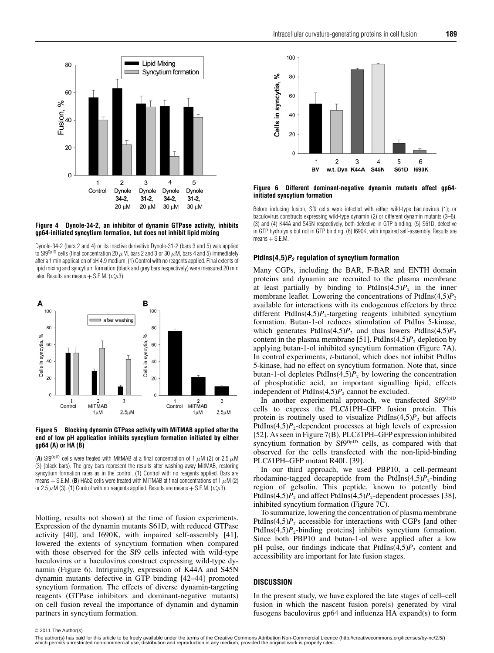<span id="page-4-0"></span>

#### **Figure 4 Dynole-34-2, an inhibitor of dynamin GTPase activity, inhibits gp64-initiated syncytium formation, but does not inhibit lipid mixing**

Dynole-34-2 (bars 2 and 4) or its inactive derivative Dynole-31-2 (bars 3 and 5) was applied to Sf9<sup>0p1D</sup> cells (final concentration 20  $\mu$ M, bars 2 and 3 or 30  $\mu$ M, bars 4 and 5) immediately after a 1 min application of pH 4.9 medium. (1) Control with no reagents applied. Final extents of lipid mixing and syncytium formation (black and grey bars respectively) were measured 20 min later. Results are means  $+$  S.E.M. ( $n \geqslant 3$ ).

<span id="page-4-1"></span>

**Figure 5 Blocking dynamin GTPase activity with MiTMAB applied after the end of low pH application inhibits syncytium formation initiated by either gp64 (A) or HA (B)**

(A) Sf9<sup>Op1D</sup> cells were treated with MitMAB at a final concentration of 1  $\mu$ M (2) or 2.5  $\mu$ M (3) (black bars). The grey bars represent the results after washing away MitMAB, restoring syncytium formation rates as in the control. (1) Control with no reagents applied. Bars are means  $+$  S.E.M. (**B**) HAb2 cells were treated with MiTMAB at final concentrations of 1  $\mu$ M (2) or 2.5  $\mu$ M (3). (1) Control with no reagents applied. Results are means  $+$  S.E.M. ( $n \ge 3$ ).

blotting, results not shown) at the time of fusion experiments. Expression of the dynamin mutants S61D, with reduced GTPase activity [\[40\]](#page-7-28), and I690K, with impaired self-assembly [\[41\]](#page-7-29), lowered the extents of syncytium formation when compared with those observed for the Sf9 cells infected with wild-type baculovirus or a baculovirus construct expressing wild-type dynamin [\(Figure 6\)](#page-4-2). Intriguingly, expression of K44A and S45N dynamin mutants defective in GTP binding [\[42](#page-7-30)[–44\]](#page-7-32) promoted syncytium formation. The effects of diverse dynamin-targeting reagents (GTPase inhibitors and dominant-negative mutants) on cell fusion reveal the importance of dynamin and dynamin partners in syncytium formation.

<span id="page-4-2"></span>

**Figure 6 Different dominant-negative dynamin mutants affect gp64 initiated syncytium formation**

Before inducing fusion, Sf9 cells were infected with either wild-type baculovirus (1); or baculovirus constructs expressing wild-type dynamin (2) or different dynamin mutants (3–6). (3) and (4) K44A and S45N respectively, both defective in GTP binding. (5) S61D, defective in GTP hydrolysis but not in GTP binding. (6) I690K, with impaired self-assembly. Results are  $means + S.E.M.$ 

# **PtdIns(4,5)P<sup>2</sup> regulation of syncytium formation**

Many CGPs, including the BAR, F-BAR and ENTH domain proteins and dynamin are recruited to the plasma membrane at least partially by binding to  $Ptdlns(4,5)P_2$  in the inner membrane leaflet. Lowering the concentrations of PtdIns $(4,5)P_2$ available for interactions with its endogenous effectors by three different PtdIns $(4,5)P_2$ -targeting reagents inhibited syncytium formation. Butan-1-ol reduces stimulation of PtdIns 5-kinase, which generates PtdIns(4,5) $P_2$  and thus lowers PtdIns(4,5) $P_2$ content in the plasma membrane [\[51\]](#page-7-40). PtdIns $(4,5)P_2$  depletion by applying butan-1-ol inhibited syncytium formation [\(Figure 7A](#page-5-0)). In control experiments, *t*-butanol, which does not inhibit PtdIns 5-kinase, had no effect on syncytium formation. Note that, since butan-1-ol depletes PtdIns $(4,5)P_2$  by lowering the concentration of phosphatidic acid, an important signalling lipid, effects independent of PtdIns $(4,5)P_2$  cannot be excluded.

In another experimental approach, we transfected Sf9<sup>Op1D</sup> cells to express the PLCδ1PH–GFP fusion protein. This protein is routinely used to visualize  $Ptdlns(4,5)P_2$  but affects PtdIns $(4,5)P_2$ -dependent processes at high levels of expression [\[52\]](#page-7-41). As seen in [Figure 7\(](#page-5-0)B), PLCδ1PH–GFP expression inhibited syncytium formation by Sf9<sup>Op<sub>1D</sub></sup> cells, as compared with that observed for the cells transfected with the non-lipid-binding PLCδ1PH–GFP mutant R40L [\[39\]](#page-7-27).

In our third approach, we used PBP10, a cell-permeant rhodamine-tagged decapeptide from the PtdIns $(4,5)P_2$ -binding region of gelsolin. This peptide, known to potently bind PtdIns $(4,5)P_2$  and affect PtdIns $(4,5)P_2$ -dependent processes [\[38\]](#page-7-26), inhibited syncytium formation [\(Figure 7C](#page-5-0)).

To summarize, lowering the concentration of plasma membrane PtdIns $(4,5)P_2$  accessible for interactions with CGPs [and other PtdIns $(4,5)P_2$ -binding proteins] inhibits syncytium formation. Since both PBP10 and butan-1-ol were applied after a low pH pulse, our findings indicate that  $PtdIns(4,5)P_2$  content and accessibility are important for late fusion stages.

# **DISCUSSION**

In the present study, we have explored the late stages of cell–cell fusion in which the nascent fusion pore(s) generated by viral fusogens baculovirus gp64 and influenza HA expand(s) to form

<sup>© 2011</sup> The Author(s)<br>The author(s) has paid for this article to be freely available under the terms of the Creative Commons Attribution Non-Commercial Licence (http://creativecommons.org/licenses/by-nc/2.5/) which permits unrestricted non-commercial use, distribution and reproduction in any medium, provided the original work is properly cited.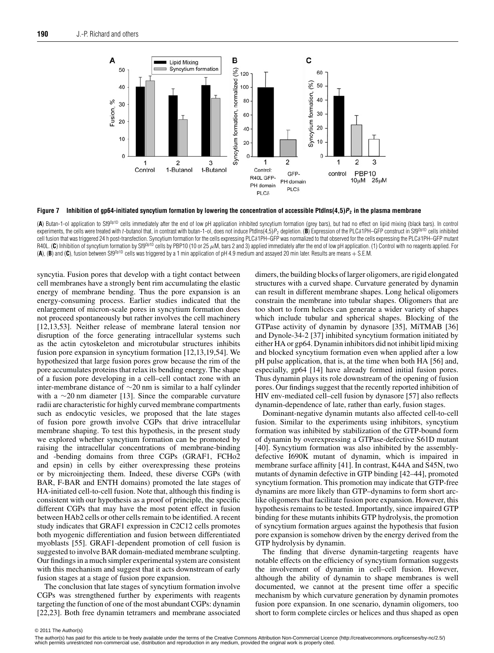<span id="page-5-0"></span>

**Figure 7 Inhibition of gp64-initiated syncytium formation by lowering the concentration of accessible PtdIns(4,5)P<sup>2</sup> in the plasma membrane**

(A) Butan-1-ol application to Sf9<sup>0p1D</sup> cells immediately after the end of low pH application inhibited syncytium formation (grey bars), but had no effect on lipid mixing (black bars). In control experiments, the cells were treated with *t*-butanol that, in contrast with butan-1-ol, does not induce PtdIns(4,5)P<sub>2</sub> depletion. (B) Expression of the PLCδ1PH–GFP construct in Sf9<sup>0p1D</sup> cells inhibited cell fusion that was triggered 24 h post-transfection. Syncytium formation for the cells expressing PLCδ1PH–GFP was normalized to that observed for the cells expressing the PLCδ1PH–GFP mutant R40L. (C) Inhibition of syncytium formation by Sf9<sup>Op1D</sup> cells by PBP10 (10 or 25  $\mu$ M, bars 2 and 3) applied immediately after the end of low pH application. (1) Control with no reagents applied. For (**A**), (**B**) and (**C**), fusion between Sf9Op1D cells was triggered by a 1 min application of pH 4.9 medium and assayed 20 min later. Results are means <sup>+</sup> S.E.M.

syncytia. Fusion pores that develop with a tight contact between cell membranes have a strongly bent rim accumulating the elastic energy of membrane bending. Thus the pore expansion is an energy-consuming process. Earlier studies indicated that the enlargement of micron-scale pores in syncytium formation does not proceed spontaneously but rather involves the cell machinery [\[12](#page-7-3)[,13,](#page-7-4)[53\]](#page-7-42). Neither release of membrane lateral tension nor disruption of the force generating intracellular systems such as the actin cytoskeleton and microtubular structures inhibits fusion pore expansion in syncytium formation [\[12](#page-7-3)[,13](#page-7-4)[,19,](#page-7-9)[54\]](#page-7-43). We hypothesized that large fusion pores grow because the rim of the pore accumulates proteins that relax its bending energy. The shape of a fusion pore developing in a cell–cell contact zone with an inter-membrane distance of ∼20 nm is similar to a half cylinder with a ∼20 nm diameter [\[13\]](#page-7-4). Since the comparable curvature radii are characteristic for highly curved membrane compartments such as endocytic vesicles, we proposed that the late stages of fusion pore growth involve CGPs that drive intracellular membrane shaping. To test this hypothesis, in the present study we explored whether syncytium formation can be promoted by raising the intracellular concentrations of membrane-binding and -bending domains from three CGPs (GRAF1, FCHo2 and epsin) in cells by either overexpressing these proteins or by microinjecting them. Indeed, these diverse CGPs (with BAR, F-BAR and ENTH domains) promoted the late stages of HA-initiated cell-to-cell fusion. Note that, although this finding is consistent with our hypothesis as a proof of principle, the specific different CGPs that may have the most potent effect in fusion between HAb2 cells or other cells remain to be identified. A recent study indicates that GRAF1 expression in C2C12 cells promotes both myogenic differentiation and fusion between differentiated myoblasts [\[55\]](#page-7-44). GRAF1-dependent promotion of cell fusion is suggested to involve BAR domain-mediated membrane sculpting. Our findings in a much simpler experimental system are consistent with this mechanism and suggest that it acts downstream of early fusion stages at a stage of fusion pore expansion.

The conclusion that late stages of syncytium formation involve CGPs was strengthened further by experiments with reagents targeting the function of one of the most abundant CGPs: dynamin [\[22](#page-7-12)[,23\]](#page-7-45). Both free dynamin tetramers and membrane associated dimers, the building blocks of larger oligomers, are rigid elongated structures with a curved shape. Curvature generated by dynamin can result in different membrane shapes. Long helical oligomers constrain the membrane into tubular shapes. Oligomers that are too short to form helices can generate a wider variety of shapes which include tubular and spherical shapes. Blocking of the GTPase activity of dynamin by dynasore [\[35\]](#page-7-23), MiTMAB [\[36\]](#page-7-24) and Dynole-34-2 [\[37\]](#page-7-25) inhibited syncytium formation initiated by either HA or gp64. Dynamin inhibitors did not inhibit lipid mixing and blocked syncytium formation even when applied after a low pH pulse application, that is, at the time when both HA [\[56\]](#page-7-46) and, especially, gp64 [\[14\]](#page-7-5) have already formed initial fusion pores. Thus dynamin plays its role downstream of the opening of fusion pores. Our findings suggest that the recently reported inhibition of HIV env-mediated cell–cell fusion by dynasore [\[57\]](#page-7-47) also reflects dynamin-dependence of late, rather than early, fusion stages.

Dominant-negative dynamin mutants also affected cell-to-cell fusion. Similar to the experiments using inhibitors, syncytium formation was inhibited by stabilization of the GTP-bound form of dynamin by overexpressing a GTPase-defective S61D mutant [\[40\]](#page-7-28). Syncytium formation was also inhibited by the assemblydefective I690K mutant of dynamin, which is impaired in membrane surface affinity [\[41\]](#page-7-29). In contrast, K44A and S45N, two mutants of dynamin defective in GTP binding [\[42](#page-7-30)[–44\]](#page-7-32), promoted syncytium formation. This promotion may indicate that GTP-free dynamins are more likely than GTP–dynamins to form short arclike oligomers that facilitate fusion pore expansion. However, this hypothesis remains to be tested. Importantly, since impaired GTP binding for these mutants inhibits GTP hydrolysis, the promotion of syncytium formation argues against the hypothesis that fusion pore expansion is somehow driven by the energy derived from the GTP hydrolysis by dynamin.

The finding that diverse dynamin-targeting reagents have notable effects on the efficiency of syncytium formation suggests the involvement of dynamin in cell–cell fusion. However, although the ability of dynamin to shape membranes is well documented, we cannot at the present time offer a specific mechanism by which curvature generation by dynamin promotes fusion pore expansion. In one scenario, dynamin oligomers, too short to form complete circles or helices and thus shaped as open

<sup>© 2011</sup> The Author(s)<br>The author(s) has paid for this article to be freely available under the terms of the Creative Commons Attribution Non-Commercial Licence (http://creativecommons.org/licenses/by-nc/2.5/) which permits unrestricted non-commercial use, distribution and reproduction in any medium, provided the original work is properly cited.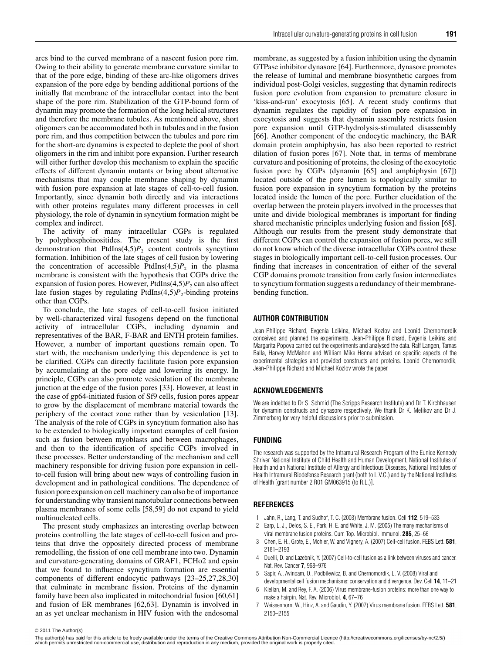arcs bind to the curved membrane of a nascent fusion pore rim. Owing to their ability to generate membrane curvature similar to that of the pore edge, binding of these arc-like oligomers drives expansion of the pore edge by bending additional portions of the initially flat membrane of the intracellular contact into the bent shape of the pore rim. Stabilization of the GTP-bound form of dynamin may promote the formation of the long helical structures and therefore the membrane tubules. As mentioned above, short oligomers can be accommodated both in tubules and in the fusion pore rim, and thus competition between the tubules and pore rim for the short-arc dynamins is expected to deplete the pool of short oligomers in the rim and inhibit pore expansion. Further research will either further develop this mechanism to explain the specific effects of different dynamin mutants or bring about alternative mechanisms that may couple membrane shaping by dynamin with fusion pore expansion at late stages of cell-to-cell fusion. Importantly, since dynamin both directly and via interactions with other proteins regulates many different processes in cell physiology, the role of dynamin in syncytium formation might be complex and indirect.

The activity of many intracellular CGPs is regulated by polyphosphoinositides. The present study is the first demonstration that PtdIns(4,5)*P*<sup>2</sup> content controls syncytium formation. Inhibition of the late stages of cell fusion by lowering the concentration of accessible PtdIns $(4,5)P_2$  in the plasma membrane is consistent with the hypothesis that CGPs drive the expansion of fusion pores. However, PtdIns $(4,5)P_2$  can also affect late fusion stages by regulating PtdIns $(4,5)P_2$ -binding proteins other than CGPs.

To conclude, the late stages of cell-to-cell fusion initiated by well-characterized viral fusogens depend on the functional activity of intracellular CGPs, including dynamin and representatives of the BAR, F-BAR and ENTH protein families. However, a number of important questions remain open. To start with, the mechanism underlying this dependence is yet to be clarified. CGPs can directly facilitate fusion pore expansion by accumulating at the pore edge and lowering its energy. In principle, CGPs can also promote vesiculation of the membrane junction at the edge of the fusion pores [\[33\]](#page-7-21). However, at least in the case of gp64-initiated fusion of Sf9 cells, fusion pores appear to grow by the displacement of membrane material towards the periphery of the contact zone rather than by vesiculation [\[13\]](#page-7-4). The analysis of the role of CGPs in syncytium formation also has to be extended to biologically important examples of cell fusion such as fusion between myoblasts and between macrophages, and then to the identification of specific CGPs involved in these processes. Better understanding of the mechanism and cell machinery responsible for driving fusion pore expansion in cellto-cell fusion will bring about new ways of controlling fusion in development and in pathological conditions. The dependence of fusion pore expansion on cell machinery can also be of importance for understanding why transient nanotubular connections between plasma membranes of some cells [\[58,](#page-7-48)[59\]](#page-7-49) do not expand to yield multinucleated cells.

The present study emphasizes an interesting overlap between proteins controlling the late stages of cell-to-cell fusion and proteins that drive the oppositely directed process of membrane remodelling, the fission of one cell membrane into two. Dynamin and curvature-generating domains of GRAF1, FCHo2 and epsin that we found to influence syncytium formation are essential components of different endocytic pathways [\[23–](#page-7-45)[25](#page-7-14)[,27](#page-7-16)[,28,](#page-7-38)[30\]](#page-7-18) that culminate in membrane fission. Proteins of the dynamin family have been also implicated in mitochondrial fusion [\[60,](#page-7-50)[61\]](#page-8-0) and fusion of ER membranes [\[62](#page-8-1)[,63\]](#page-8-2). Dynamin is involved in an as yet unclear mechanism in HIV fusion with the endosomal membrane, as suggested by a fusion inhibition using the dynamin GTPase inhibitor dynasore [\[64\]](#page-8-3). Furthermore, dynasore promotes the release of luminal and membrane biosynthetic cargoes from individual post-Golgi vesicles, suggesting that dynamin redirects fusion pore evolution from expansion to premature closure in 'kiss-and-run' exocytosis [\[65\]](#page-8-4). A recent study confirms that dynamin regulates the rapidity of fusion pore expansion in exocytosis and suggests that dynamin assembly restricts fusion pore expansion until GTP-hydrolysis-stimulated disassembly [\[66\]](#page-8-5). Another component of the endocytic machinery, the BAR domain protein amphiphysin, has also been reported to restrict dilation of fusion pores [\[67\]](#page-8-6). Note that, in terms of membrane curvature and positioning of proteins, the closing of the exocytotic fusion pore by CGPs (dynamin [\[65\]](#page-8-4) and amphiphysin [\[67\]](#page-8-6)) located outside of the pore lumen is topologically similar to fusion pore expansion in syncytium formation by the proteins located inside the lumen of the pore. Further elucidation of the overlap between the protein players involved in the processes that unite and divide biological membranes is important for finding shared mechanistic principles underlying fusion and fission [\[68\]](#page-8-7). Although our results from the present study demonstrate that different CGPs can control the expansion of fusion pores, we still do not know which of the diverse intracellular CGPs control these stages in biologically important cell-to-cell fusion processes. Our finding that increases in concentration of either of the several CGP domains promote transition from early fusion intermediates to syncytium formation suggests a redundancy of their membranebending function.

## **AUTHOR CONTRIBUTION**

Jean-Philippe Richard, Evgenia Leikina, Michael Kozlov and Leonid Chernomordik conceived and planned the experiments. Jean-Philippe Richard, Evgenia Leikina and Margarita Popova carried out the experiments and analysed the data. Ralf Langen, Tamas Balla, Harvey McMahon and William Mike Henne advised on specific aspects of the experimental strategies and provided constructs and proteins. Leonid Chernomordik, Jean-Philippe Richard and Michael Kozlov wrote the paper.

#### **ACKNOWLEDGEMENTS**

We are indebted to Dr S. Schmid (The Scripps Research Institute) and Dr T. Kirchhausen for dynamin constructs and dynasore respectively. We thank Dr K. Melikov and Dr J. Zimmerberg for very helpful discussions prior to submission.

#### **FUNDING**

The research was supported by the Intramural Research Program of the Eunice Kennedy Shriver National Institute of Child Health and Human Development, National Institutes of Health and an National Institute of Allergy and Infectious Diseases, National Institutes of Health Intramural Biodefense Research grant (both to L.V.C.) and by the National Institutes of Health [grant number 2 R01 GM063915 (to R.L.)].

# **REFERENCES**

- <span id="page-6-0"></span>1 Jahn, R., Lang, T. and Sudhof, T. C. (2003) Membrane fusion. Cell **112**, 519–533
- <span id="page-6-2"></span>2 Earp, L. J., Delos, S. E., Park, H. E. and White, J. M. (2005) The many mechanisms of viral membrane fusion proteins. Curr. Top. Microbiol. Immunol. **285**, 25–66
- 3 Chen, E. H., Grote, E., Mohler, W. and Vignery, A. (2007) Cell-cell fusion. FEBS Lett. **581**, 2181–2193
- 4 Duelli, D. and Lazebnik, Y. (2007) Cell-to-cell fusion as a link between viruses and cancer. Nat. Rev. Cancer **7**, 968–976
- <span id="page-6-1"></span>5 Sapir, A., Avinoam, O., Podbilewicz, B. and Chernomordik, L. V. (2008) Viral and developmental cell fusion mechanisms: conservation and divergence. Dev. Cell **14**, 11–21
- <span id="page-6-3"></span>6 Kielian, M. and Rey, F. A. (2006) Virus membrane-fusion proteins: more than one way to make a hairpin. Nat. Rev. Microbiol. **4**, 67–76
- 7 Weissenhorn, W., Hinz, A. and Gaudin, Y. (2007) Virus membrane fusion. FEBS Lett. **581**, 2150–2155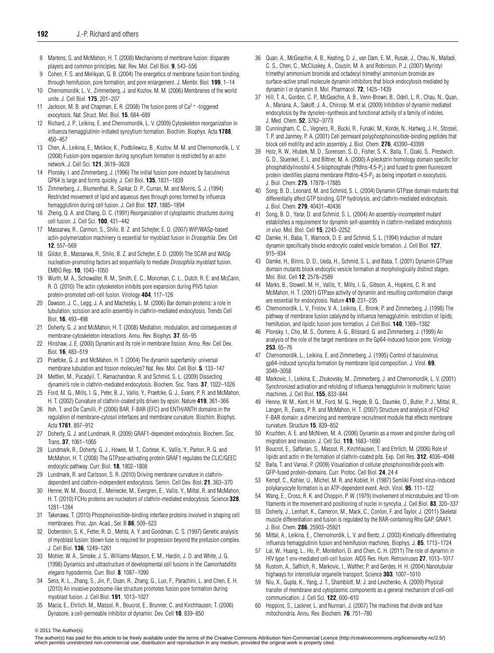- <span id="page-7-0"></span>8 Martens, S. and McMahon, H. T. (2008) Mechanisms of membrane fusion: disparate players and common principles. Nat. Rev. Mol. Cell Biol. **9**, 543–556
- <span id="page-7-1"></span>9 Cohen, F. S. and Melikyan, G. B. (2004) The energetics of membrane fusion from binding, through hemifusion, pore formation, and pore enlargement. J. Membr. Biol. **199**, 1–14
- 10 Chernomordik, L. V., Zimmerberg, J. and Kozlov, M. M. (2006) Membranes of the world unite. J. Cell Biol. **175**, 201–207
- <span id="page-7-2"></span>11 Jackson, M. B. and Chapman, E. R. (2008) The fusion pores of  $Ca^{2+}$ -triggered exocytosis. Nat. Struct. Mol. Biol. **15**, 684–689
- <span id="page-7-3"></span>12 Richard, J. P., Leikina, E. and Chernomordik, L. V. (2009) Cytoskeleton reorganization in influenza hemagglutinin-initiated syncytium formation. Biochim. Biophys. Acta **1788**, 450–457
- <span id="page-7-4"></span>13 Chen, A., Leikina, E., Melikov, K., Podbilewicz, B., Kozlov, M. M. and Chernomordik, L. V. (2008) Fusion-pore expansion during syncytium formation is restricted by an actin network. J. Cell Sci. **121**, 3619–3628
- <span id="page-7-5"></span>14 Plonsky, I. and Zimmerberg, J. (1996) The initial fusion pore induced by baculovirus GP64 is large and forms quickly. J. Cell Biol. **135**, 1831–1839
- <span id="page-7-6"></span>15 Zimmerberg, J., Blumenthal, R., Sarkar, D. P., Curran, M. and Morris, S. J. (1994) Restricted movement of lipid and aqueous dyes through pores formed by influenza hemagglutinin during cell fusion. J. Cell Biol. **127**, 1885–1894
- <span id="page-7-7"></span>16 Zheng, Q. A. and Chang, D. C. (1991) Reorganization of cytoplasmic structures during cell fusion. J. Cell Sci. **100**, 431–442
- 17 Massarwa, R., Carmon, S., Shilo, B. Z. and Schejter, E. D. (2007) WIP/WASp-based actin-polymerization machinery is essential for myoblast fusion in Drosophila. Dev. Cell **12**, 557–569
- <span id="page-7-8"></span>18 Gildor, B., Massarwa, R., Shilo, B. Z. and Schejter, E. D. (2009) The SCAR and WASp nucleation-promoting factors act sequentially to mediate Drosophila myoblast fusion. EMBO Rep. **10**, 1043–1050
- <span id="page-7-9"></span>19 Wurth, M. A., Schowalter, R. M., Smith, E. C., Moncman, C. L., Dutch, R. E. and McCann, R. O. (2010) The actin cytoskeleton inhibits pore expansion during PIV5 fusion protein-promoted cell-cell fusion. Virology **404**, 117–126
- <span id="page-7-10"></span>20 Dawson, J. C., Legg, J. A. and Machesky, L. M. (2006) Bar domain proteins: a role in tubulation, scission and actin assembly in clathrin-mediated endocytosis. Trends Cell Biol. **16**, 493–498
- <span id="page-7-11"></span>21 Doherty, G. J. and McMahon, H. T. (2008) Mediation, modulation, and consequences of membrane-cytoskeleton interactions. Annu. Rev. Biophys. **37**, 65–95
- <span id="page-7-12"></span>22 Hinshaw, J. E. (2000) Dynamin and its role in membrane fission. Annu. Rev. Cell Dev. Biol. **16**, 483–519
- <span id="page-7-45"></span>23 Praefcke, G. J. and McMahon, H. T. (2004) The dynamin superfamily: universal membrane tubulation and fission molecules? Nat. Rev. Mol. Cell Biol. **5**, 133–147
- <span id="page-7-13"></span>24 Mettlen, M., Pucadyil, T., Ramachandran, R. and Schmid, S. L. (2009) Dissecting dynamin's role in clathrin-mediated endocytosis. Biochem. Soc. Trans. **37**, 1022–1026
- <span id="page-7-14"></span>25 Ford, M. G., Mills, I. G., Peter, B. J., Vallis, Y., Praefcke, G. J., Evans, P. R. and McMahon, H. T. (2002) Curvature of clathrin-coated pits driven by epsin. Nature **419**, 361–366
- <span id="page-7-15"></span>26 Itoh, T. and De Camilli, P. (2006) BAR, F-BAR (EFC) and ENTH/ANTH domains in the regulation of membrane-cytosol interfaces and membrane curvature. Biochim. Biophys. Acta **1761**, 897–912
- <span id="page-7-16"></span>27 Doherty, G. J. and Lundmark, R. (2009) GRAF1-dependent endocytosis. Biochem. Soc. Trans. **37**, 1061–1065
- <span id="page-7-38"></span>28 Lundmark, R., Doherty, G. J., Howes, M. T., Cortese, K., Vallis, Y., Parton, R. G. and McMahon, H. T. (2008) The GTPase-activating protein GRAF1 regulates the CLIC/GEEC endocytic pathway. Curr. Biol. **18**, 1802–1808
- <span id="page-7-17"></span>29 Lundmark, R. and Carlsson, S. R. (2010) Driving membrane curvature in clathrindependent and clathrin-independent endocytosis. Semin. Cell Dev. Biol. **21**, 363–370
- <span id="page-7-18"></span>30 Henne, W. M., Boucrot, E., Meinecke, M., Evergren, E., Vallis, Y., Mittal, R. and McMahon, H. T. (2010) FCHo proteins are nucleators of clathrin-mediated endocytosis. Science **328**, 1281–1284
- <span id="page-7-19"></span>31 Takenawa, T. (2010) Phosphoinositide-binding interface proteins involved in shaping cell membranes. Proc. Jpn. Acad., Ser. B **86**, 509–523
- <span id="page-7-20"></span>32 Doberstein, S. K., Fetter, R. D., Mehta, A. Y. and Goodman, C. S. (1997) Genetic analysis of myoblast fusion: blown fuse is required for progression beyond the prefusion complex. J. Cell Biol. **136**, 1249–1261
- <span id="page-7-21"></span>33 Mohler, W. A., Simske, J. S., Williams-Masson, E. M., Hardin, J. D. and White, J. G. (1998) Dynamics and ultrastructure of developmental cell fusions in the Caenorhabditis elegans hypodermis. Curr. Biol. **8**, 1087–1090
- <span id="page-7-22"></span>34 Sens, K. L., Zhang, S., Jin, P., Duan, R., Zhang, G., Luo, F., Parachini, L. and Chen, E. H. (2010) An invasive podosome-like structure promotes fusion pore formation during myoblast fusion. J. Cell Biol. **191**, 1013–1027
- <span id="page-7-23"></span>35 Macia, E., Ehrlich, M., Massol, R., Boucrot, E., Brunner, C. and Kirchhausen, T. (2006) Dynasore, a cell-permeable inhibitor of dynamin. Dev. Cell **10**, 839–850
- <span id="page-7-24"></span>36 Quan, A., McGeachie, A. B., Keating, D. J., van Dam, E. M., Rusak, J., Chau, N., Malladi, C. S., Chen, C., McCluskey, A., Cousin, M. A. and Robinson, P. J. (2007) Myristyl trimethyl ammonium bromide and octadecyl trimethyl ammonium bromide are surface-active small molecule dynamin inhibitors that block endocytosis mediated by dynamin I or dynamin II. Mol. Pharmacol. **72**, 1425–1439
- <span id="page-7-25"></span>37 Hill, T. A., Gordon, C. P., McGeachie, A. B., Venn-Brown, B., Odell, L. R., Chau, N., Quan, A., Mariana, A., Sakoff, J. A., Chircop, M. et al. (2009) Inhibition of dynamin mediated endocytosis by the dynoles–synthesis and functional activity of a family of indoles. J. Med. Chem. **52**, 3762–3773
- <span id="page-7-26"></span>Cunningham, C. C., Vegners, R., Bucki, R., Funaki, M., Korde, N., Hartwig, J. H., Stossel, T. P. and Janmey, P. A. (2001) Cell permeant polyphosphoinositide-binding peptides that block cell motility and actin assembly. J. Biol. Chem. **276**, 43390–43399
- <span id="page-7-27"></span>39 Holz, R. W., Hlubek, M. D., Sorensen, S. D., Fisher, S. K., Balla, T., Ozaki, S., Prestwich, G. D., Stuenkel, E. L. and Bittner, M. A. (2000) A pleckstrin homology domain specific for phosphatidylinositol 4, 5-bisphosphate (PtdIns-4,5-P<sub>2</sub>) and fused to green fluorescent protein identifies plasma membrane PtdIns-4,5-P<sub>2</sub> as being important in exocytosis. J. Biol. Chem. **275**, 17878–17885
- <span id="page-7-28"></span>40 Song, B. D., Leonard, M. and Schmid, S. L. (2004) Dynamin GTPase domain mutants that differentially affect GTP binding, GTP hydrolysis, and clathrin-mediated endocytosis. J. Biol. Chem. **279**, 40431–40436
- <span id="page-7-29"></span>41 Song, B. D., Yarar, D. and Schmid, S. L. (2004) An assembly-incompetent mutant establishes a requirement for dynamin self-assembly in clathrin-mediated endocytosis in vivo. Mol. Biol. Cell **15**, 2243–2252
- <span id="page-7-30"></span>42 Damke, H., Baba, T., Warnock, D. E. and Schmid, S. L. (1994) Induction of mutant dynamin specifically blocks endocytic coated vesicle formation. J. Cell Biol. **127**, 915–934
- <span id="page-7-31"></span>43 Damke, H., Binns, D. D., Ueda, H., Schmid, S. L. and Baba, T. (2001) Dynamin GTPase domain mutants block endocytic vesicle formation at morphologically distinct stages. Mol. Biol. Cell **12**, 2578–2589
- <span id="page-7-32"></span>44 Marks, B., Stowell, M. H., Vallis, Y., Mills, I. G., Gibson, A., Hopkins, C. R. and McMahon, H. T. (2001) GTPase activity of dynamin and resulting conformation change are essential for endocytosis. Nature **410**, 231–235
- <span id="page-7-33"></span>45 Chernomordik, L. V., Frolov, V. A., Leikina, E., Bronk, P. and Zimmerberg, J. (1998) The pathway of membrane fusion catalyzed by influenza hemagglutinin: restriction of lipids, hemifusion, and lipidic fusion pore formation. J. Cell Biol. **140**, 1369–1382
- <span id="page-7-34"></span>46 Plonsky, I., Cho, M. S., Oomens, A. G., Blissard, G. and Zimmerberg, J. (1999) An analysis of the role of the target membrane on the Gp64-induced fusion pore. Virology **253**, 65–76
- <span id="page-7-35"></span>47 Chernomordik, L., Leikina, E. and Zimmerberg, J. (1995) Control of baculovirus gp64-induced syncytia formation by membrane lipid composition. J. Virol. **69**, 3049–3058
- <span id="page-7-36"></span>48 Markovic, I., Leikina, E., Zhukovsky, M., Zimmerberg, J. and Chernomordik, L. V. (2001) Synchronized activation and refolding of influenza hemagglutinin in multimeric fusion machines. J. Cell Biol. **155**, 833–844
- <span id="page-7-37"></span>49 Henne, W. M., Kent, H. M., Ford, M. G., Hegde, B. G., Daumke, O., Butler, P. J., Mittal, R., Langen, R., Evans, P. R. and McMahon, H. T. (2007) Structure and analysis of FCHo2 F-BAR domain: a dimerizing and membrane recruitment module that effects membrane curvature. Structure **15**, 839–852
- <span id="page-7-39"></span>50 Kruchten, A. E. and McNiven, M. A. (2006) Dynamin as a mover and pincher during cell migration and invasion. J. Cell Sci. **119**, 1683–1690
- <span id="page-7-40"></span>51 Boucrot, E., Saffarian, S., Massol, R., Kirchhausen, T. and Ehrlich, M. (2006) Role of lipids and actin in the formation of clathrin-coated pits. Exp. Cell Res. **312**, 4036–4048
- <span id="page-7-41"></span>52 Balla, T. and Varnai, P. (2009) Visualization of cellular phosphoinositide pools with GFP-fused protein-domains. Curr. Protoc. Cell Biol. **24**, 24.4
- <span id="page-7-42"></span>53 Kempf, C., Kohler, U., Michel, M. R. and Koblet, H. (1987) Semliki Forest virus-induced polykaryocyte formation is an ATP-dependent event. Arch. Virol. **95**, 111–122
- <span id="page-7-43"></span>54 Wang, E., Cross, R. K. and Choppin, P. W. (1979) Involvement of microtubules and 10-nm filaments in the movement and positioning of nuclei in syncytia. J. Cell Biol. **83**, 320–337
- <span id="page-7-44"></span>55 Doherty, J., Lenhart, K., Cameron, M., Mack, C., Conlon, F. and Taylor, J. (2011) Skeletal muscle differentiation and fusion is regulated by the BAR-containing Rho GAP, GRAF1. J. Biol. Chem. **286**, 25903–25921
- <span id="page-7-46"></span>56 Mittal, A., Leikina, E., Chernomordik, L. V. and Bentz, J. (2003) Kinetically differentiating influenza hemagglutinin fusion and hemifusion machines. Biophys. J. **85**, 1713–1724
- <span id="page-7-47"></span>57 Lai, W., Huang, L., Ho, P., Montefiori, D. and Chen, C. H. (2011) The role of dynamin in HIV type 1 env-mediated cell-cell fusion. AIDS Res. Hum. Retroviruses **27**, 1013–1017
- <span id="page-7-48"></span>58 Rustom, A., Saffrich, R., Markovic, I., Walther, P. and Gerdes, H. H. (2004) Nanotubular highways for intercellular organelle transport. Science **303**, 1007–1010
- <span id="page-7-49"></span>59 Niu, X., Gupta, K., Yang, J. T., Shamblott, M. J. and Levchenko, A. (2009) Physical transfer of membrane and cytoplasmic components as a general mechanism of cell-cell communication. J. Cell Sci. **122**, 600–610
- <span id="page-7-50"></span>60 Hoppins, S., Lackner, L. and Nunnari, J. (2007) The machines that divide and fuse mitochondria. Annu. Rev. Biochem. **76**, 751–780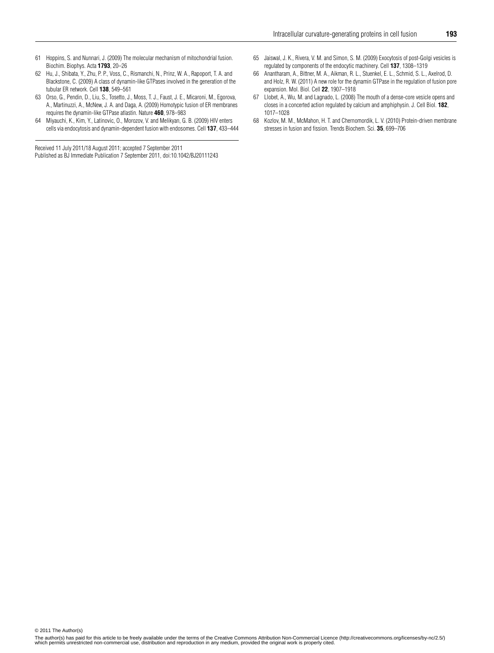- <span id="page-8-0"></span>61 Hoppins, S. and Nunnari, J. (2009) The molecular mechanism of mitochondrial fusion. Biochim. Biophys. Acta **1793**, 20–26
- <span id="page-8-1"></span>62 Hu, J., Shibata, Y., Zhu, P. P., Voss, C., Rismanchi, N., Prinz, W. A., Rapoport, T. A. and Blackstone, C. (2009) A class of dynamin-like GTPases involved in the generation of the tubular ER network. Cell **138**, 549–561
- <span id="page-8-2"></span>63 Orso, G., Pendin, D., Liu, S., Tosetto, J., Moss, T. J., Faust, J. E., Micaroni, M., Egorova, A., Martinuzzi, A., McNew, J. A. and Daga, A. (2009) Homotypic fusion of ER membranes requires the dynamin-like GTPase atlastin. Nature **460**, 978–983
- <span id="page-8-3"></span>64 Miyauchi, K., Kim, Y., Latinovic, O., Morozov, V. and Melikyan, G. B. (2009) HIV enters cells via endocytosis and dynamin-dependent fusion with endosomes. Cell **137**, 433–444

Received 11 July 2011/18 August 2011; accepted 7 September 2011

Published as BJ Immediate Publication 7 September 2011, doi:10.1042/BJ20111243

- <span id="page-8-4"></span>65 Jaiswal, J. K., Rivera, V. M. and Simon, S. M. (2009) Exocytosis of post-Golgi vesicles is regulated by components of the endocytic machinery. Cell **137**, 1308–1319
- <span id="page-8-5"></span>66 Anantharam, A., Bittner, M. A., Aikman, R. L., Stuenkel, E. L., Schmid, S. L., Axelrod, D. and Holz, R. W. (2011) A new role for the dynamin GTPase in the regulation of fusion pore expansion. Mol. Biol. Cell **22**, 1907–1918
- <span id="page-8-6"></span>67 Llobet, A., Wu, M. and Lagnado, L. (2008) The mouth of a dense-core vesicle opens and closes in a concerted action regulated by calcium and amphiphysin. J. Cell Biol. **182**, 1017–1028
- <span id="page-8-7"></span>68 Kozlov, M. M., McMahon, H. T. and Chernomordik, L. V. (2010) Protein-driven membrane stresses in fusion and fission. Trends Biochem. Sci. **35**, 699–706